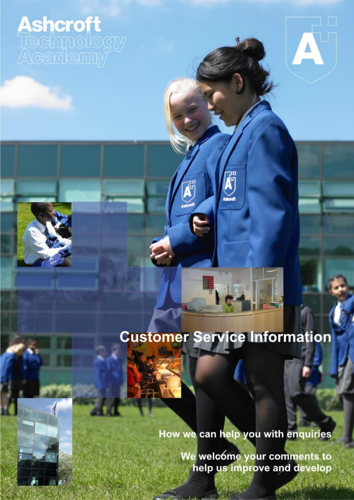**Ashcroft**<br>Techmology

## **Customer Service Information**

How we can help you with enquiries

We welcome your comments to help us improve and develop

A Britan Castle

 $\overline{\mathbf{A}}$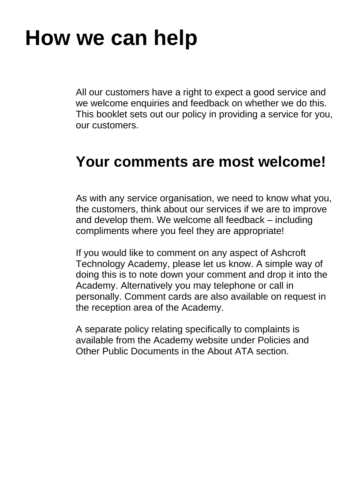## **How we can help**

All our customers have a right to expect a good service and we welcome enquiries and feedback on whether we do this. This booklet sets out our policy in providing a service for you, our customers.

### **Your comments are most welcome!**

As with any service organisation, we need to know what you, the customers, think about our services if we are to improve and develop them. We welcome all feedback – including compliments where you feel they are appropriate!

If you would like to comment on any aspect of Ashcroft Technology Academy, please let us know. A simple way of doing this is to note down your comment and drop it into the Academy. Alternatively you may telephone or call in personally. Comment cards are also available on request in the reception area of the Academy.

A separate policy relating specifically to complaints is available from the Academy website under Policies and Other Public Documents in the About ATA section.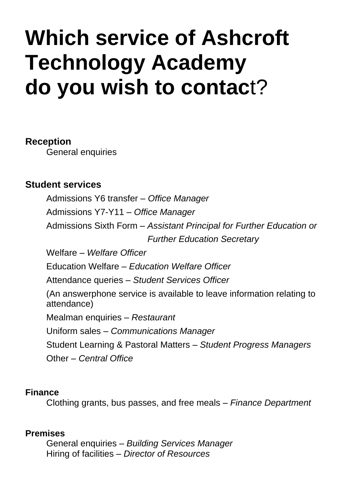## **Which service of Ashcroft Technology Academy do you wish to contac**t?

#### **Reception**

General enquiries

#### **Student services**

Admissions Y6 transfer – *Office Manager* Admissions Y7-Y11 *– Office Manager* Admissions Sixth Form – *Assistant Principal for Further Education or Further Education Secretary* Welfare – *Welfare Officer* Education Welfare *– Education Welfare Officer* Attendance queries – *Student Services Officer*  (An answerphone service is available to leave information relating to attendance) Mealman enquiries – *Restaurant* Uniform sales – *Communications Manager* Student Learning & Pastoral Matters – *Student Progress Managers* Other – *Central Office*

#### **Finance**

Clothing grants, bus passes, and free meals – *Finance Department*

#### **Premises**

General enquiries – *Building Services Manager* Hiring of facilities – *Director of Resources*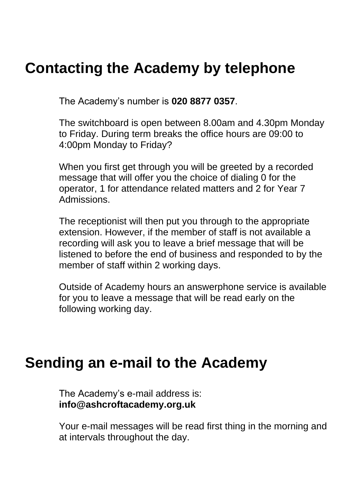### **Contacting the Academy by telephone**

The Academy's number is **020 8877 0357**.

The switchboard is open between 8.00am and 4.30pm Monday to Friday. During term breaks the office hours are 09:00 to 4:00pm Monday to Friday?

When you first get through you will be greeted by a recorded message that will offer you the choice of dialing 0 for the operator, 1 for attendance related matters and 2 for Year 7 Admissions.

The receptionist will then put you through to the appropriate extension. However, if the member of staff is not available a recording will ask you to leave a brief message that will be listened to before the end of business and responded to by the member of staff within 2 working days.

Outside of Academy hours an answerphone service is available for you to leave a message that will be read early on the following working day.

### **Sending an e-mail to the Academy**

The Academy's e-mail address is: **info@ashcroftacademy.org.uk**

Your e-mail messages will be read first thing in the morning and at intervals throughout the day.